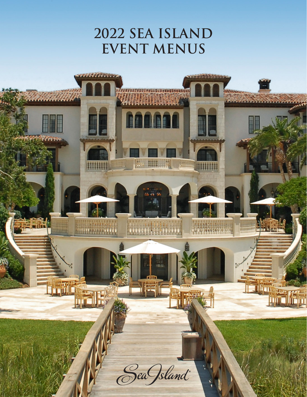# **2022 SEA ISLAND EVENT MENUS**

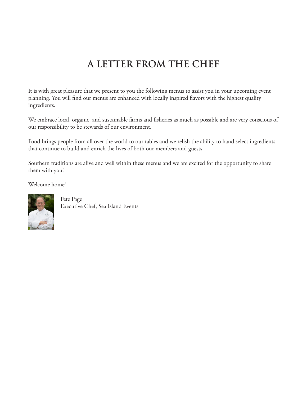# **A LETTER FROM THE CHEF**

It is with great pleasure that we present to you the following menus to assist you in your upcoming event planning. You will find our menus are enhanced with locally inspired flavors with the highest quality ingredients.

We embrace local, organic, and sustainable farms and fisheries as much as possible and are very conscious of our responsibility to be stewards of our environment.

Food brings people from all over the world to our tables and we relish the ability to hand select ingredients that continue to build and enrich the lives of both our members and guests.

Southern traditions are alive and well within these menus and we are excited for the opportunity to share them with you!

Welcome home!



Pete Page Executive Chef, Sea Island Events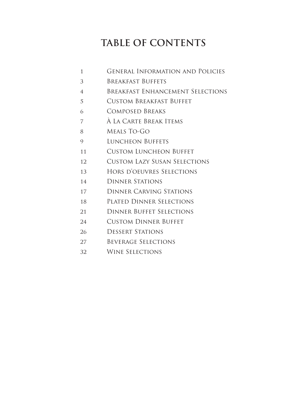# **TABLE OF CONTENTS**

- General Information and Policies
- Breakfast Buffets
- Breakfast Enhancement Selections
- Custom Breakfast Buffet
- Composed Breaks
- À La Carte Break Items
- Meals To-Go
- 9 LUNCHEON BUFFETS
- 11 CUSTOM LUNCHEON BUFFET
- Custom Lazy Susan Selections
- Hors d'oeuvres Selections
- Dinner Stations
- Dinner Carving Stations
- Plated Dinner Selections
- Dinner Buffet Selections
- 24 CUSTOM DINNER BUFFET
- Dessert Stations
- Beverage Selections
- Wine Selections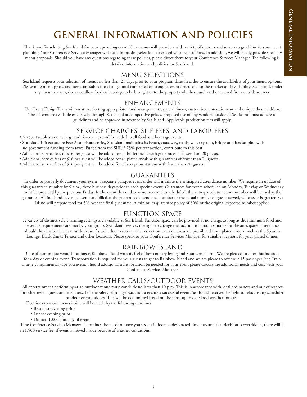# **GENERAL INFORMATION AND POLICIES**

Thank you for selecting Sea Island for your upcoming event. Our menus will provide a wide variety of options and serve as a guideline to your event planning. Your Conference Services Manager will assist in making selections to exceed your expectations. In addition, we will gladly provide specialty menu proposals. Should you have any questions regarding these policies, please direct them to your Conference Services Manager. The following is detailed information and policies for Sea Island.

## MENU SELECTIONS

Sea Island requests your selection of menus no less than 21 days prior to your program dates in order to ensure the availability of your menu options. Please note menu prices and items are subject to change until confirmed on banquet event orders due to the market and availability. Sea Island, under any circumstances, does not allow food or beverage to be brought onto the property whether purchased or catered from outside sources.

## ENHANCEMENTS

Our Event Design Team will assist in selecting appropriate floral arrangements, special linens, customized entertainment and unique themed décor. These items are available exclusively through Sea Island at competitive prices. Proposed use of any vendors outside of Sea Island must adhere to guidelines and be approved in advance by Sea Island. Applicable production fees will apply.

### SERVICE CHARGES, SIIF FEES, AND LABOR FEES

#### • A 25% taxable service charge and 6% state tax will be added to all food and beverage events.

- Sea Island Infrastructure Fee: As a private entity, Sea Island maintains its beach, causeway, roads, water system, bridge and landscaping with no government funding from taxes. Funds from the SIIF, 2.25% per transaction, contribute to this cost.
- Additional service fees of \$16 per guest will be added for all buffet meals with guarantees of fewer than 20 guests.
- Additional service fees of \$16 per guest will be added for all plated meals with guarantees of fewer than 20 guests.
- Additional service fees of \$16 per guest will be added for all reception stations with fewer than 20 guests.

## GUARANTEES

In order to properly document your event, a separate banquet event order will indicate the anticipated attendance number. We require an update of this guaranteed number by 9 a.m., three business days prior to each specific event. Guarantees for events scheduled on Monday, Tuesday or Wednesday must be provided by the previous Friday. In the event this update is not received as scheduled, the anticipated attendance number will be used as the guarantee. All food and beverage events are billed at the guaranteed attendance number or the actual number of guests served, whichever is greater. Sea Island will prepare food for 3% over the final guarantee. A minimum guarantee policy of 80% of the original expected number applies.

## FUNCTION SPACE

A variety of distinctively charming settings are available at Sea Island. Function space can be provided at no charge as long as the minimum food and beverage requirements are met by your group. Sea Island reserves the right to change the location to a room suitable for the anticipated attendance should the number increase or decrease. As well, due to service area restrictions, certain areas are prohibited from plated events, such as the Spanish Lounge, Black Banks Terrace and other locations. Please speak to your Conference Services Manager for suitable locations for your plated dinner.

### RAINBOW ISLAND

One of our unique venue locations is Rainbow Island with its feel of low country living and Southern charm. We are pleased to offer this location for a day or evening event. Transportation is required for your guests to get to Rainbow Island and we are please to offer our 45 passenger Jeep Train shuttle complimentary for you event. Should additional transportation be needed for your event please discuss the additional needs and cost with your Conference Services Manager.

## WEATHER CALLS/OUTDOOR EVENTS

All entertainment performing at an outdoor venue must conclude no later than 10 p.m. This is in accordance with local ordinances and out of respect for other resort guests and members. For the safety of your guests and to ensure a successful event, Sea Island reserves the right to relocate any scheduled outdoor event indoors. This will be determined based on the most up to date local weather forecast.

Decisions to move events inside will be made by the following deadlines:

- Breakfast: evening prior
- Lunch: evening prior
- Dinner: 10:00 a.m. day of event

If the Conference Services Manager determines the need to move your event indoors at designated timelines and that decision is overridden, there will be a \$1,500 service fee, if event is moved inside because of weather conditions.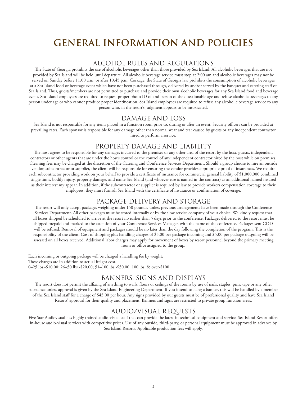## **GENERAL INFORMATION AND POLICIES**

#### ALCOHOL RULES AND REGULATIONS

The State of Georgia prohibits the use of alcoholic beverages other than those provided by Sea Island. All alcoholic beverages that are not provided by Sea Island will be held until departure. All alcoholic beverage service must stop at 2:00 am and alcoholic beverages may not be served on Sunday before 11:00 a.m. or after 10:45 p.m. Corkage: the State of Georgia law prohibits the consumption of alcoholic beverages at a Sea Island food or beverage event which have not been purchased through, delivered by and/or served by the banquet and catering staff of Sea Island. Thus, guests/members are not permitted to purchase and provide their own alcoholic beverages for any Sea Island food and beverage event. Sea Island employees are required to request proper photo ID of and person of the questionable age and refuse alcoholic beverages to any person under age or who cannot produce proper identification. Sea Island employees are required to refuse any alcoholic beverage service to any person who, in the resort's judgment appears to be intoxicated.

#### DAMAGE AND LOSS

Sea Island is not responsible for any items placed in a function room prior to, during or after an event. Security officers can be provided at prevailing rates. Each sponsor is responsible for any damage other than normal wear and tear caused by guests or any independent contractor hired to perform a service.

#### PROPERTY DAMAGE AND LIABILITY

The host agrees to be responsible for any damages incurred to the premises or any other area of the resort by the host, guests, independent contractors or other agents that are under the host's control or the control of any independent contractor hired by the host while on premises. Cleaning fees may be charged at the discretion of the Catering and Conference Services Department. Should a group choose to hire an outside vendor, subcontractor or supplier, the client will be responsible for ensuring the vendor provides appropriate proof of insurances. We require each subcontractor providing work on your behalf to provide a certificate of insurance for commercial general liability of \$1,000,000 combined single limit, bodily injury, property damage, and name Sea Island (and whoever else is named in the contract) as an additional named insured as their interest my appear. In addition, if the subcontractor or supplier is required by law to provide workers compensation coverage to their employees, they must furnish Sea Island with the certificate of insurance or confirmation of coverage.

#### PACKAGE DELIVERY AND STORAGE

The resort will only accept packages weighing under 150 pounds, unless previous arrangements have been made through the Conference Services Department. All other packages must be stored internally or by the slow service company of your choice. We kindly request that all boxes shipped be scheduled to arrive at the resort no earlier than 5 days prior to the conference. Packages delivered to the resort must be shipped prepaid and marked to the attention of your Conference Services Manager, with the name of the conference. Packages sent COD will be refused. Removal of equipment and packages should be no later than the day following the completion of the program. This is the responsibility of the client. Cost of shipping plus handling charges of \$5.00 per package incoming and \$5.00 per package outgoing will be assessed on all boxes received. Additional labor charges may apply for movement of boxes by resort personnel beyond the primary meeting room or office assigned to the group.

Each incoming or outgoing package will be charged a handling fee by weight: These charges are in addition to actual freight cost. 0–25 lbs.-\$10.00; 26–50 lbs.-\$20.00; 51–100 lbs.-\$50.00; 100 lbs. & over-\$100

#### BANNERS, SIGNS AND DISPLAYS

The resort does not permit the affixing of anything to walls, floors or ceilings of the rooms by use of nails, staples, pins, tape or any other substance unless approval is given by the Sea Island Engineering Department. If you intend to hang a banner, this will be handled by a member of the Sea Island staff for a charge of \$45.00 per hour. Any signs provided by our guests must be of professional quality and have Sea Island Resorts' approval for their quality and placement. Banners and signs are restricted to private group function areas.

#### AUDIO/VISUAL REQUESTS

Five Star Audiovisual has highly trained audio-visual staff that can provide the latest in technical equipment and service. Sea Island Resort offers in-house audio-visual services with competitive prices. Use of any outside, third-party, or personal equipment must be approved in advance by Sea Island Resorts. Applicable production fees will apply.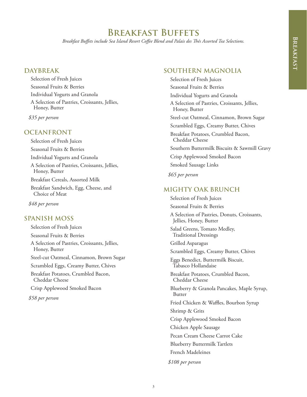## **Breakfast Buffets**

*Breakfast Buffets include Sea Island Resort Coffee Blend and Palais des Thés Assorted Tea Selections.*

### **DAYBREAK**

Selection of Fresh Juices Seasonal Fruits & Berries Individual Yogurts and Granola A Selection of Pastries, Croissants, Jellies, Honey, Butter

*\$35 per person*

#### **OCEANFRONT**

Selection of Fresh Juices Seasonal Fruits & Berries Individual Yogurts and Granola A Selection of Pastries, Croissants, Jellies, Honey, Butter Breakfast Cereals, Assorted Milk Breakfast Sandwich, Egg, Cheese, and Choice of Meat

*\$48 per person*

#### **SPANISH MOSS**

Selection of Fresh Juices Seasonal Fruits & Berries A Selection of Pastries, Croissants, Jellies, Honey, Butter Steel-cut Oatmeal, Cinnamon, Brown Sugar Scrambled Eggs, Creamy Butter, Chives Breakfast Potatoes, Crumbled Bacon, Cheddar Cheese Crisp Applewood Smoked Bacon *\$58 per person*

#### **SOUTHERN MAGNOLIA**

Selection of Fresh Juices Seasonal Fruits & Berries Individual Yogurts and Granola A Selection of Pastries, Croissants, Jellies, Honey, Butter Steel-cut Oatmeal, Cinnamon, Brown Sugar Scrambled Eggs, Creamy Butter, Chives Breakfast Potatoes, Crumbled Bacon, Cheddar Cheese Southern Buttermilk Biscuits & Sawmill Gravy Crisp Applewood Smoked Bacon Smoked Sausage Links

*\$65 per person*

#### **MIGHTY OAK BRUNCH**

Selection of Fresh Juices Seasonal Fruits & Berries A Selection of Pastries, Donuts, Croissants, Jellies, Honey, Butter Salad Greens, Tomato Medley, Traditional Dressings Grilled Asparagus Scrambled Eggs, Creamy Butter, Chives Eggs Benedict, Buttermilk Biscuit, Tabasco Hollandaise Breakfast Potatoes, Crumbled Bacon, Cheddar Cheese Blueberry & Granola Pancakes, Maple Syrup, Butter Fried Chicken & Waffles, Bourbon Syrup Shrimp & Grits Crisp Applewood Smoked Bacon Chicken Apple Sausage Pecan Cream Cheese Carrot Cake Blueberry Buttermilk Tartlets French Madeleines *\$108 per person*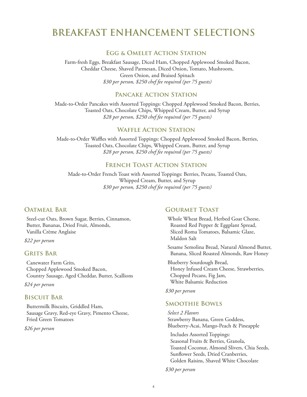## **BREAKFAST ENHANCEMENT SELECTIONS**

#### **Egg & Omelet Action Station**

Farm-fresh Eggs, Breakfast Sausage, Diced Ham, Chopped Applewood Smoked Bacon, Cheddar Cheese, Shaved Parmesan, Diced Onion, Tomato, Mushroom, Green Onion, and Braised Spinach *\$30 per person, \$250 chef fee required (per 75 guests)*

#### **Pancake Action Station**

Made-to-Order Pancakes with Assorted Toppings: Chopped Applewood Smoked Bacon, Berries, Toasted Oats, Chocolate Chips, Whipped Cream, Butter, and Syrup *\$28 per person, \$250 chef fee required (per 75 guests)*

## **Waffle Action Station**

Made-to-Order Waffles with Assorted Toppings: Chopped Applewood Smoked Bacon, Berries, Toasted Oats, Chocolate Chips, Whipped Cream, Butter, and Syrup *\$28 per person, \$250 chef fee required (per 75 guests)*

## **FRENCH TOAST ACTION STATION**

Made-to-Order French Toast with Assorted Toppings: Berries, Pecans, Toasted Oats, Whipped Cream, Butter, and Syrup *\$30 per person, \$250 chef fee required (per 75 guests)*

#### **Oatmeal Bar**

Steel-cut Oats, Brown Sugar, Berries, Cinnamon, Butter, Bananas, Dried Fruit, Almonds, Vanilla Crème Anglaise

*\$22 per person*

#### **Grits Bar**

Canewater Farm Grits, Chopped Applewood Smoked Bacon, Country Sausage, Aged Cheddar, Butter, Scallions

*\$24 per person*

#### **Biscuit Bar**

Buttermilk Biscuits, Griddled Ham, Sausage Gravy, Red-eye Gravy, Pimento Cheese, Fried Green Tomatoes

*\$26 per person*

#### **Gourmet Toast**

Whole Wheat Bread, Herbed Goat Cheese, Roasted Red Pepper & Eggplant Spread, Sliced Roma Tomatoes, Balsamic Glaze, Maldon Salt

Sesame Semolina Bread, Natural Almond Butter, Banana, Sliced Roasted Almonds, Raw Honey

Blueberry Sourdough Bread, Honey Infused Cream Cheese, Strawberries, Chopped Pecans, Fig Jam, White Balsamic Reduction

*\$30 per person*

#### **Smoothie Bowls**

*Select 2 Flavors* Strawberry Banana, Green Goddess, Blueberry-Acai, Mango-Peach & Pineapple

 Includes Assorted Toppings: Seasonal Fruits & Berries, Granola, Toasted Coconut, Almond Slivers, Chia Seeds, Sunflower Seeds, Dried Cranberries, Golden Raisins, Shaved White Chocolate

*\$30 per person*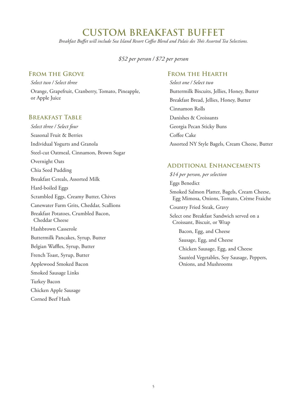## **CUSTOM BREAKFAST BUFFET**

*Breakfast Buffet will include Sea Island Resort Coffee Blend and Palais des Thés Assorted Tea Selections.*

*\$52 per person / \$72 per person*

### **From the Grove**

*Select two / Select three*

Orange, Grapefruit, Cranberry, Tomato, Pineapple, or Apple Juice

#### **Breakfast Table**

*Select three / Select four* Seasonal Fruit & Berries Individual Yogurts and Granola Steel-cut Oatmeal, Cinnamon, Brown Sugar Overnight Oats Chia Seed Pudding Breakfast Cereals, Assorted Milk Hard-boiled Eggs Scrambled Eggs, Creamy Butter, Chives Canewater Farm Grits, Cheddar, Scallions Breakfast Potatoes, Crumbled Bacon, Cheddar Cheese Hashbrown Casserole Buttermilk Pancakes, Syrup, Butter Belgian Waffles, Syrup, Butter French Toast, Syrup, Butter Applewood Smoked Bacon Smoked Sausage Links Turkey Bacon Chicken Apple Sausage

Corned Beef Hash

### **From the Hearth**

*Select one / Select two* Buttermilk Biscuits, Jellies, Honey, Butter Breakfast Bread, Jellies, Honey, Butter Cinnamon Rolls Danishes & Croissants Georgia Pecan Sticky Buns Coffee Cake Assorted NY Style Bagels, Cream Cheese, Butter

#### **Additional Enhancements**

*\$14 per person, per selection* Eggs Benedict Smoked Salmon Platter, Bagels, Cream Cheese, Egg Mimosa, Onions, Tomato, Crème Fraiche Country Fried Steak, Gravy Select one Breakfast Sandwich served on a Croissant, Biscuit, or Wrap Bacon, Egg, and Cheese Sausage, Egg, and Cheese Chicken Sausage, Egg, and Cheese Sautéed Vegetables, Soy Sausage, Peppers, Onions, and Mushrooms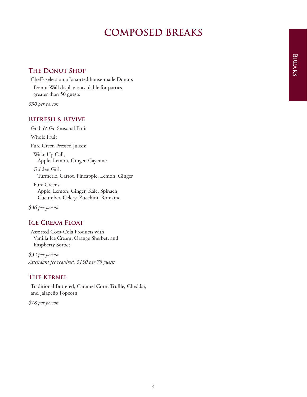## **COMPOSED BREAKS**

### **The Donut Shop**

Chef's selection of assorted house-made Donuts Donut Wall display is available for parties greater than 50 guests

*\$30 per person*

### **Refresh & Revive**

Grab & Go Seasonal Fruit Whole Fruit

Pure Green Pressed Juices:

 Wake Up Call, Apple, Lemon, Ginger, Cayenne

 Golden Girl, Turmeric, Carrot, Pineapple, Lemon, Ginger

 Pure Greens, Apple, Lemon, Ginger, Kale, Spinach, Cucumber, Celery, Zucchini, Romaine

*\$36 per person*

## **Ice Cream Float**

Assorted Coca-Cola Products with Vanilla Ice Cream, Orange Sherbet, and Raspberry Sorbet

*\$32 per person Attendant fee required. \$150 per 75 guests*

### **The Kernel**

Traditional Buttered, Caramel Corn, Truffle, Cheddar, and Jalapeño Popcorn

*\$18 per person*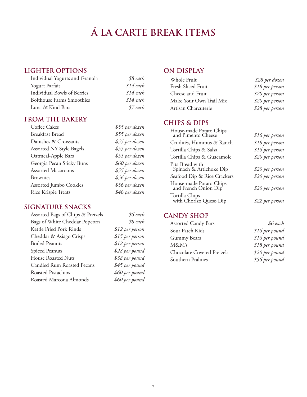# **Á LA CARTE BREAK ITEMS**

## **LIGHTER OPTIONS**

| Individual Yogurts and Granola   | \$8 each   |
|----------------------------------|------------|
| Yogurt Parfait                   | $$14$ each |
| Individual Bowls of Berries      | $$14$ each |
| <b>Bolthouse Farms Smoothies</b> | $$14$ each |
| Luna & Kind Bars                 | \$7 each   |

## **FROM THE BAKERY**

| Coffee Cakes                    | \$55 per dozen |
|---------------------------------|----------------|
| Breakfast Bread                 | \$55 per dozen |
| Danishes & Croissants           | \$55 per dozen |
| <b>Assorted NY Style Bagels</b> | \$55 per dozen |
| Oatmeal-Apple Bars              | \$55 per dozen |
| Georgia Pecan Sticky Buns       | \$60 per dozen |
| <b>Assorted Macaroons</b>       | \$55 per dozen |
| <b>Brownies</b>                 | \$56 per dozen |
| Assorted Jumbo Cookies          | \$56 per dozen |
| Rice Krispie Treats             | \$46 per dozen |

#### **SIGNATURE SNACKS**

| Assorted Bags of Chips & Pretzels |
|-----------------------------------|
| Bags of White Cheddar Popcorn     |
| Kettle Fried Pork Rinds           |
| Cheddar & Asiago Crisps           |
| <b>Boiled Peanuts</b>             |
| <b>Spiced Peanuts</b>             |
| House Roasted Nuts                |
| Candied Rum Roasted Pecans        |
| Roasted Pistachios                |
| Roasted Marcona Almonds           |

Assorted Bags of Chips & Pretzels *\$6 each*  $$8$  each  $$12$  per person  $$15$  per person  $$12$  per person  $$28$  per pound \$38 per pound  $$45$  per pound  $$60$  per pound  $$60$  per pound

## **ON DISPLAY**

| Whole Fruit             | \$28 per dozen  |
|-------------------------|-----------------|
| Fresh Sliced Fruit      | \$18 per person |
| Cheese and Fruit        | \$20 per person |
| Make Your Own Trail Mix | \$20 per person |
| Artisan Charcuterie     | \$28 per person |

## **CHIPS & DIPS**

| House-made Potato Chips<br>and Pimento Cheese   | \$16 per person |
|-------------------------------------------------|-----------------|
| Crudités, Hummus & Ranch                        | \$18 per person |
| Tortilla Chips & Salsa                          | \$16 per person |
| Tortilla Chips & Guacamole                      | \$20 per person |
| Pita Bread with<br>Spinach & Artichoke Dip      | \$20 per person |
| Seafood Dip & Rice Crackers                     | \$20 per person |
| House-made Potato Chips<br>and French Onion Dip | \$20 per person |
| Tortilla Chips<br>with Chorizo Queso Dip        | \$22 per person |
|                                                 |                 |

## **CANDY SHOP**

Assorted Candy Bars *\$6 each* Sour Patch Kids *\$16 per pound* Gummy Bears *\$16 per pound* M&M's *\$18 per pound* Chocolate Covered Pretzels *\$20 per pound* Southern Pralines *\$56 per pound*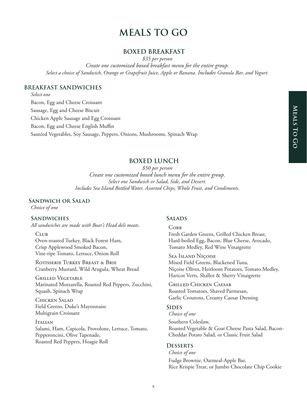## **MEALS TO GO**

#### **BOXED BREAKFAST**

*\$35 per person*

*Create one customized boxed breakfast menu for the entire group. Select a choice of Sandwich, Orange or Grapefruit Juice, Apple or Banana. Includes Granola Bar, and Yogurt.*

#### **BREAKFAST SANDWICHES**

*Select one*

Bacon, Egg and Cheese Croissant Sausage, Egg and Cheese Biscuit Chicken Apple Sausage and Egg Croissant Bacon, Egg and Cheese English Muffin Sautéed Vegetables, Soy Sausage, Peppers, Onions, Mushrooms, Spinach Wrap

#### **BOXED LUNCH**

*\$50 per person Create one customized boxed lunch menu for the entire group. Select one Sandwich or Salad, Side, and Dessert. Includes Sea Island Bottled Water, Assorted Chips, Whole Fruit, and Condiments.*

#### **Sandwich or Salad**

*Choice of one*

#### **Sandwiches**

*All sandwiches are made with Boar's Head deli meats.*

#### CLUB

Oven-roasted Turkey, Black Forest Ham, Crisp Applewood Smoked Bacon, Vine-ripe Tomato, Lettuce, Onion Roll

ROTISSERIE TURKEY BREAST & BRIE Cranberry Mustard, Wild Arugula, Wheat Bread

Grilled Vegetable Marinated Mozzarella, Roasted Red Peppers, Zucchini, Squash, Spinach Wrap

CHICKEN SALAD Field Greens, Duke's Mayonnaise Multigrain Croissant

Italian Salami, Ham, Capicola, Provolone, Lettuce, Tomato, Pepperoncini, Olive Tapenade, Roasted Red Peppers, Hoagie Roll

#### **Salads**

 $C$ <sub>OBB</sub> Fresh Garden Greens, Grilled Chicken Breast, Hard-boiled Egg, Bacon, Blue Cheese, Avocado, Tomato Medley, Red Wine Vinaigrette

Sea Island Niçoise Mixed Field Greens, Blackened Tuna, Niçoise Olives, Heirloom Potatoes, Tomato Medley, Haricot Verts, Shallot & Sherry Vinaigrette

Grilled Chicken Caesar Roasted Tomatoes, Shaved Parmesan, Garlic Croutons, Creamy Caesar Dressing

#### **Sides**

*Choice of one*

Southern Coleslaw, Roasted Vegetable & Goat Cheese Pasta Salad, Bacon-Cheddar Potato Salad, or Classic Fruit Salad

#### **Desserts**

*Choice of one* Fudge Brownie, Oatmeal-Apple Bar, Rice Krispie Treat, or Jumbo Chocolate Chip Cookie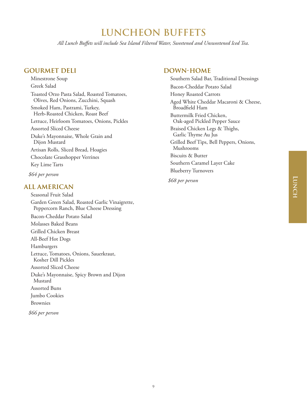## **LUNCHEON BUFFETS**

*All Lunch Buffets will include Sea Island Filtered Water, Sweetened and Unsweetened Iced Tea.*

### **GOURMET DELI**

Minestrone Soup Greek Salad Toasted Orzo Pasta Salad, Roasted Tomatoes, Olives, Red Onions, Zucchini, Squash Smoked Ham, Pastrami, Turkey, Herb-Roasted Chicken, Roast Beef Lettuce, Heirloom Tomatoes, Onions, Pickles Assorted Sliced Cheese Duke's Mayonnaise, Whole Grain and Dijon Mustard Artisan Rolls, Sliced Bread, Hoagies Chocolate Grasshopper Verrines Key Lime Tarts

*\$64 per person*

#### **ALL AMERICAN**

Seasonal Fruit Salad Garden Green Salad, Roasted Garlic Vinaigrette, Peppercorn Ranch, Blue Cheese Dressing Bacon-Cheddar Potato Salad Molasses Baked Beans Grilled Chicken Breast All-Beef Hot Dogs Hamburgers Lettuce, Tomatoes, Onions, Sauerkraut, Kosher Dill Pickles Assorted Sliced Cheese Duke's Mayonnaise, Spicy Brown and Dijon Mustard Assorted Buns Jumbo Cookies Brownies

*\$66 per person*

#### **DOWN-HOME**

Southern Salad Bar, Traditional Dressings Bacon-Cheddar Potato Salad Honey Roasted Carrots Aged White Cheddar Macaroni & Cheese, Broadfield Ham Buttermilk Fried Chicken, Oak-aged Pickled Pepper Sauce Braised Chicken Legs & Thighs, Garlic Thyme Au Jus Grilled Beef Tips, Bell Peppers, Onions, Mushrooms Biscuits & Butter Southern Caramel Layer Cake Blueberry Turnovers

*\$68 per person*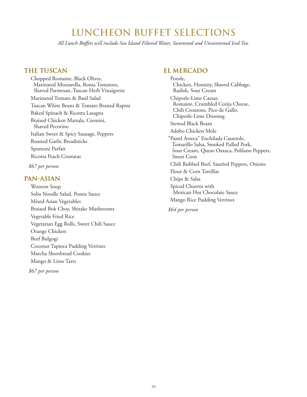## **LUNCHEON BUFFET SELECTIONS**

*All Lunch Buffets will include Sea Island Filtered Water, Sweetened and Unsweetened Iced Tea.*

#### **THE TUSCAN**

Chopped Romaine, Black Olives, Marinated Mozzarella, Roma Tomatoes, Shaved Parmesan, Tuscan Herb Vinaigrette Marinated Tomato & Basil Salad Tuscan White Beans & Tomato Braised Rapini Baked Spinach & Ricotta Lasagna Braised Chicken Marsala, Cremini, Shaved Pecorino Italian Sweet & Spicy Sausage, Peppers Roasted Garlic Breadsticks Spumoni Parfait Ricotta Peach Crostatas

*\$67 per person*

#### **PAN-ASIAN**

Wonton Soup Soba Noodle Salad, Ponzu Sauce Mixed Asian Vegetables Braised Bok Choy, Shitake Mushrooms Vegetable Fried Rice Vegetarian Egg Rolls, Sweet Chili Sauce Orange Chicken Beef Bulgogi Coconut Tapioca Pudding Verrines Matcha Shortbread Cookies Mango & Lime Tarts

*\$67 per person*

#### **EL MERCADO**

Pozole, Chicken, Hominy, Shaved Cabbage, Radish, Sour Cream Chipotle-Lime Caesar, Romaine, Crumbled Cotija Cheese, Chili Croutons, Pico de Gallo, Chipotle-Lime Dressing Stewed Black Beans Adobo Chicken Mole "Pastel Azteca" Enchilada Casserole, Tomatillo Salsa, Smoked Pulled Pork, Sour Cream, Queso Oaxaca, Poblano Peppers, Sweet Corn Chili Rubbed Beef, Sautéed Peppers, Onions Flour & Corn Tortillas Chips & Salsa Spiced Churros with Mexican Hot Chocolate Sauce Mango Rice Pudding Verrines *\$64 per person*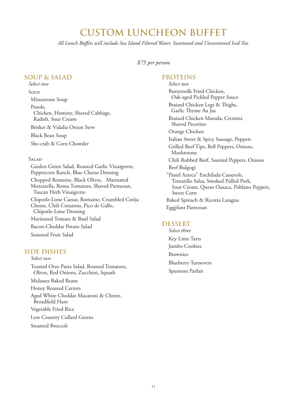## **CUSTOM LUNCHEON BUFFET**

*All Lunch Buffets will include Sea Island Filtered Water, Sweetened and Unsweetened Iced Tea.*

#### *\$75 per person*

#### **SOUP & SALAD**

*Select two* Soup Minestrone Soup Pozole, Chicken, Hominy, Shaved Cabbage, Radish, Sour Cream Brisket & Vidalia Onion Stew Black Bean Soup She-crab & Corn Chowder

#### Salad

Garden Green Salad, Roasted Garlic Vinaigrette, Peppercorn Ranch, Blue Cheese Dressing Chopped Romaine, Black Olives, Marinated Mozzarella, Roma Tomatoes, Shaved Parmesan, Tuscan Herb Vinaigrette Chipotle-Lime Caesar, Romaine, Crumbled Cotija Cheese, Chili Croutons, Pico de Gallo, Chipotle-Lime Dressing Marinated Tomato & Basil Salad Bacon-Cheddar Potato Salad Seasonal Fruit Salad

### **SIDE DISHES**

*Select two*

Toasted Orzo Pasta Salad, Roasted Tomatoes, Olives, Red Onions, Zucchini, Squash

Molasses Baked Beans

Honey Roasted Carrots

Aged White Cheddar Macaroni & Cheese, Broadfield Ham

Vegetable Fried Rice

Low Country Collard Greens

Steamed Broccoli

#### **PROTEINS**

*Select two* Buttermilk Fried Chicken, Oak-aged Pickled Pepper Sauce Braised Chicken Legs & Thighs, Garlic Thyme Au Jus Braised Chicken Marsala, Cremini, Shaved Pecorino Orange Chicken Italian Sweet & Spicy Sausage, Peppers Grilled Beef Tips, Bell Peppers, Onions, Mushrooms Chili Rubbed Beef, Sautéed Peppers, Onions Beef Bulgogi "Pastel Azteca" Enchilada Casserole, Tomatillo Salsa, Smoked Pulled Pork, Sour Cream, Queso Oaxaca, Poblano Peppers, Sweet Corn Baked Spinach & Ricotta Lasagna Eggplant Parmesan

#### **DESSERT**

*Select three* Key Lime Tarts Jumbo Cookies Brownies Blueberry Turnovers Spumoni Parfait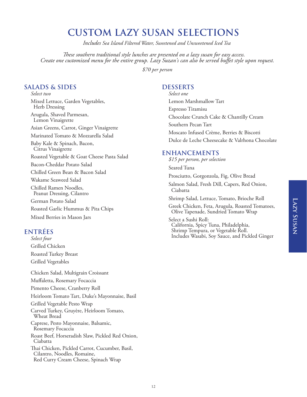## **CUSTOM LAZY SUSAN SELECTIONS**

*Includes Sea Island Filtered Water, Sweetened and Unsweetened Iced Tea*

*These southern traditional style lunches are presented on a lazy susan for easy access. Create one customized menu for the entire group. Lazy Suzan's can also be served buffet style upon request.*

*\$70 per person*

## **SALADS & SIDES**

*Select two* Mixed Lettuce, Garden Vegetables, Herb Dressing Arugula, Shaved Parmesan, Lemon Vinaigrette Asian Greens, Carrot, Ginger Vinaigrette Marinated Tomato & Mozzarella Salad Baby Kale & Spinach, Bacon, Citrus Vinaigrette Roasted Vegetable & Goat Cheese Pasta Salad Bacon-Cheddar Potato Salad Chilled Green Bean & Bacon Salad Wakame Seaweed Salad Chilled Ramen Noodles, Peanut Dressing, Cilantro German Potato Salad Roasted Garlic Hummus & Pita Chips Mixed Berries in Mason Jars

## **ENTRÉES**

*Select four* Grilled Chicken Roasted Turkey Breast Grilled Vegetables

Chicken Salad, Multigrain Croissant Muffaletta, Rosemary Focaccia Pimento Cheese, Cranberry Roll Heirloom Tomato Tart, Duke's Mayonnaise, Basil Grilled Vegetable Pesto Wrap Carved Turkey, Gruyère, Heirloom Tomato, Wheat Bread Caprese, Pesto Mayonnaise, Balsamic, Rosemary Focaccia Roast Beef, Horseradish Slaw, Pickled Red Onion, Ciabatta Thai Chicken, Pickled Carrot, Cucumber, Basil, Cilantro, Noodles, Romaine, Red Curry Cream Cheese, Spinach Wrap

### **DESSERTS**

*Select one* Lemon Marshmallow Tart Espresso Tiramisu Chocolate Crunch Cake & Chantilly Cream Southern Pecan Tart Moscato Infused Crème, Berries & Biscotti Dulce de Leche Cheesecake & Valrhona Chocolate

### **ENHANCEMENTS**

- *\$15 per person, per selection*
- Seared Tuna
- Prosciutto, Gorgonzola, Fig, Olive Bread
- Salmon Salad, Fresh Dill, Capers, Red Onion, Ciabatta

Shrimp Salad, Lettuce, Tomato, Brioche Roll

Greek Chicken, Feta, Arugula, Roasted Tomatoes, Olive Tapenade, Sundried Tomato Wrap

Select a Sushi Roll: California, Spicy Tuna, Philadelphia, Shrimp Tempura, or Vegetable Roll. Includes Wasabi, Soy Sauce, and Pickled Ginger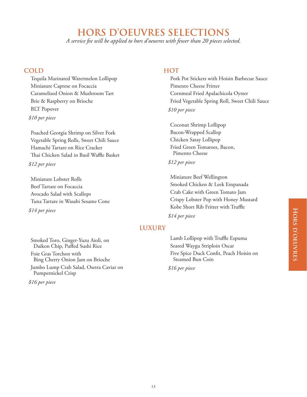## **HORS D'OEUVRES SELECTIONS**

*A service fee will be applied to hors d'oeuvres with fewer than 20 pieces selected.*

#### **COLD**

Tequila Marinated Watermelon Lollipop Miniature Caprese on Focaccia Caramelized Onion & Mushroom Tart Brie & Raspberry on Brioche BLT Popover *\$10 per piece*

Poached Georgia Shrimp on Silver Fork Vegetable Spring Rolls, Sweet Chili Sauce Hamachi Tartare on Rice Cracker Thai Chicken Salad in Basil Waffle Basket

*\$12 per piece*

Miniature Lobster Rolls Beef Tartare on Focaccia Avocado Salad with Scallops Tuna Tartare in Wasabi Sesame Cone

*\$14 per piece*

### **HOT**

Pork Pot Stickers with Hoisin Barbecue Sauce Pimento Cheese Fritter Cornmeal Fried Apalachicola Oyster Fried Vegetable Spring Roll, Sweet Chili Sauce *\$10 per piece*

Coconut Shrimp Lollipop Bacon-Wrapped Scallop Chicken Satay Lollipop Fried Green Tomatoes, Bacon, Pimento Cheese

#### *\$12 per piece*

Miniature Beef Wellington Smoked Chicken & Leek Empanada Crab Cake with Green Tomato Jam Crispy Lobster Pop with Honey Mustard Kobe Short Rib Fritter with Truffle

*\$14 per piece*

## **LUXURY**

Smoked Toro, Ginger-Yuzu Aioli, on Daikon Chip, Puffed Sushi Rice Foie Gras Torchon with Bing Cherry Onion Jam on Brioche Jumbo Lump Crab Salad, Osetra Caviar on Pumpernickel Crisp

*\$16 per piece*

Lamb Lollipop with Truffle Espuma Seared Waygu Striploin Oscar Five Spice Duck Confit, Peach Hoisin on Steamed Bun Coin

*\$16 per piece*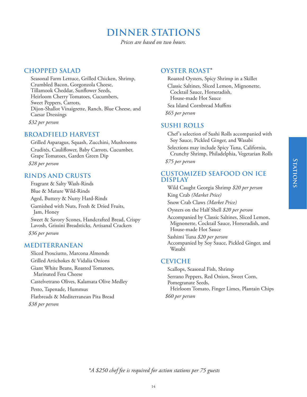## **DINNER STATIONS**

*Prices are based on two hours.*

## **CHOPPED SALAD**

Seasonal Farm Lettuce, Grilled Chicken, Shrimp, Crumbled Bacon, Gorgonzola Cheese, Tillamook Cheddar, Sunflower Seeds, Heirloom Cherry Tomatoes, Cucumbers, Sweet Peppers, Carrots, Dijon-Shallot Vinaigrette, Ranch, Blue Cheese, and Caesar Dressings *\$32 per person*

## **BROADFIELD HARVEST**

Grilled Asparagus, Squash, Zucchini, Mushrooms Crudités, Cauliflower, Baby Carrots, Cucumber, Grape Tomatoes, Garden Green Dip *\$28 per person*

## **RINDS AND CRUSTS**

Fragrant & Salty Wash-Rinds Blue & Mature Wild-Rinds Aged, Buttery & Nutty Hard-Rinds Garnished with Nuts, Fresh & Dried Fruits, Jam, Honey Sweet & Savory Scones, Handcrafted Bread, Crispy Lavosh, Grissini Breadsticks, Artisanal Crackers *\$36 per person*

### **MEDITERRANEAN**

Sliced Prosciutto, Marcona Almonds Grilled Artichokes & Vidalia Onions Giant White Beans, Roasted Tomatoes, Marinated Feta Cheese Castelvetrano Olives, Kalamata Olive Medley Pesto, Tapenade, Hummus Flatbreads & Mediterranean Pita Bread *\$38 per person*

## **OYSTER ROAST\***

Roasted Oysters, Spicy Shrimp in a Skillet Classic Saltines, Sliced Lemon, Mignonette, Cocktail Sauce, Horseradish, House-made Hot Sauce Sea Island Cornbread Muffins *\$65 per person*

## **SUSHI ROLLS**

Chef's selection of Sushi Rolls accompanied with Soy Sauce, Pickled Ginger, and Wasabi

Selections may include Spicy Tuna, California, Crunchy Shrimp, Philadelphia, Vegetarian Rolls

*\$75 per person*

#### **CUSTOMIZED SEAFOOD ON ICE DISPLAY**

Wild Caught Georgia Shrimp *\$20 per person* King Crab *(Market Price)* 

Snow Crab Claws *(Market Price)*

Oysters on the Half Shell *\$20 per person*

Accompanied by Classic Saltines, Sliced Lemon, Mignonette, Cocktail Sauce, Horseradish, and House-made Hot Sauce

Sashimi Tuna *\$20 per person* Accompanied by Soy Sauce, Pickled Ginger, and Wasabi

### **CEVICHE**

Scallops, Seasonal Fish, Shrimp Serrano Peppers, Red Onion, Sweet Corn, Pomegranate Seeds, Heirloom Tomato, Finger Limes, Plantain Chips *\$60 per person*

*\*A \$250 chef fee is required for action stations per 75 guests*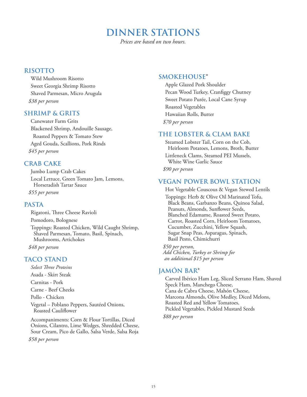## **DINNER STATIONS**

*Prices are based on two hours.*

#### **RISOTTO**

Wild Mushroom Risotto Sweet Georgia Shrimp Risotto Shaved Parmesan, Micro Arugula *\$38 per person*

#### **SHRIMP & GRITS**

Canewater Farm Grits Blackened Shrimp, Andouille Sausage, Roasted Peppers & Tomato Stew Aged Gouda, Scallions, Pork Rinds *\$45 per person*

## **CRAB CAKE**

Jumbo Lump Crab Cakes Local Lettuce, Green Tomato Jam, Lemons, Horseradish Tartar Sauce *\$55 per person*

## **PASTA**

Rigatoni, Three Cheese Ravioli Pomodoro, Bolognese Toppings: Roasted Chicken, Wild Caught Shrimp, Shaved Parmesan, Tomato, Basil, Spinach, Mushrooms, Artichokes

*\$48 per person*

## **TACO STAND**

*Select Three Proteins*

Asada - Skirt Steak

Carnitas - Pork

Carne - Beef Cheeks

Pollo - Chicken

Vegetal – Poblano Peppers, Sautéed Onions, Roasted Cauliflower

Accompaniments: Corn & Flour Tortillas, Diced Onions, Cilantro, Lime Wedges, Shredded Cheese, Sour Cream, Pico de Gallo, Salsa Verde, Salsa Roja

*\$58 per person*

## **SMOKEHOUSE\***

Apple Glazed Pork Shoulder Pecan Wood Turkey, Cranfiggy Chutney Sweet Potato Purée, Local Cane Syrup Roasted Vegetables Hawaiian Rolls, Butter *\$70 per person*

## **THE LOBSTER & CLAM BAKE**

Steamed Lobster Tail, Corn on the Cob, Heirloom Potatoes, Lemons, Broth, Butter Littleneck Clams, Steamed PEI Mussels, White Wine Garlic Sauce *\$90 per person*

### **VEGAN POWER BOWL STATION**

Hot Vegetable Couscous & Vegan Stewed Lentils Toppings: Herb & Olive Oil Marinated Tofu, Black Beans, Garbanzo Beans, Quinoa Salad, Peanuts, Almonds, Sunflower Seeds, Blanched Edamame, Roasted Sweet Potato, Carrot, Roasted Corn, Heirloom Tomatoes, Cucumber, Zucchini, Yellow Squash, Sugar Snap Peas, Asparagus, Spinach, Basil Pesto, Chimichurri

*\$50 per person, Add Chicken, Turkey or Shrimp for an additional \$15 per person*

## **JAMÓN BAR\***

Carved Ibérico Ham Leg, Sliced Serrano Ham, Shaved Speck Ham, Manchego Cheese, Cana de Cabra Cheese, Mahón Cheese, Marcona Almonds, Olive Medley, Diced Melons, Roasted Red and Yellow Tomatoes, Pickled Vegetables, Pickled Mustard Seeds

*\$88 per person*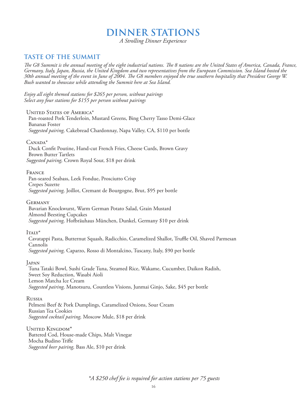## **DINNER STATIONS**

*A Strolling Dinner Experience*

## **TASTE OF THE SUMMIT**

*The G8 Summit is the annual meeting of the eight industrial nations. The 8 nations are the United States of America, Canada, France, Germany, Italy, Japan, Russia, the United Kingdom and two representatives from the European Commission. Sea Island hosted the 30th annual meeting of the event in June of 2004. The G8 members enjoyed the true southern hospitality that President George W. Bush wanted to showcase while attending the Summit here at Sea Island.*

*Enjoy all eight themed stations for \$265 per person, without pairings Select any four stations for \$155 per person without pairings*

UNITED STATES OF AMERICA\*

Pan-roasted Pork Tenderloin, Mustard Greens, Bing Cherry Tasso Demi-Glace Bananas Foster *Suggested pairing,* Cakebread Chardonnay, Napa Valley, CA, \$110 per bottle

 $C$ ANADA $*$ 

Duck Confit Poutine, Hand-cut French Fries, Cheese Curds, Brown Gravy Brown Butter Tartlets *Suggested pairing,* Crown Royal Sour, \$18 per drink

**FRANCE** 

Pan-seared Seabass, Leek Fondue, Prosciutto Crisp Crepes Suzette *Suggested pairing,* Joillot, Cremant de Bourgogne, Brut, \$95 per bottle

Germany

Bavarian Knockwurst, Warm German Potato Salad, Grain Mustard Almond Beesting Cupcakes *Suggested pairing,* Hofbräuhaus München, Dunkel, Germany \$10 per drink

 $I\text{TAIY}^*$ 

Cavatappi Pasta, Butternut Squash, Radicchio, Caramelized Shallot, Truffle Oil, Shaved Parmesan Cannolis *Suggested pairing,* Caparzo, Rosso di Montalcino, Tuscany, Italy, \$90 per bottle

**JAPAN** 

Tuna Tataki Bowl, Sushi Grade Tuna, Steamed Rice, Wakame, Cucumber, Daikon Radish, Sweet Soy Reduction, Wasabi Aioli Lemon Matcha Ice Cream *Suggested pairing,* Manotsuru, Countless Visions, Junmai Ginjo, Sake, \$45 per bottle

Russia

Pelmeni Beef & Pork Dumplings, Caramelized Onions, Sour Cream Russian Tea Cookies *Suggested cocktail pairing,* Moscow Mule, \$18 per drink

United Kingdom\* Battered Cod, House-made Chips, Malt Vinegar Mocha Budino Trifle *Suggested beer pairing,* Bass Ale, \$10 per drink

*\*A \$250 chef fee is required for action stations per 75 guests*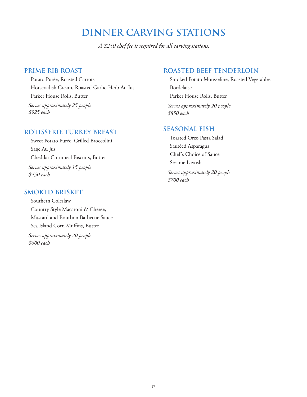## **DINNER CARVING STATIONS**

*A \$250 chef fee is required for all carving stations.*

### **PRIME RIB ROAST**

Potato Purée, Roasted Carrots Horseradish Cream, Roasted Garlic-Herb Au Jus Parker House Rolls, Butter *Serves approximately 25 people \$925 each*

#### **ROTISSERIE TURKEY BREAST**

Sweet Potato Purée, Grilled Broccolini Sage Au Jus Cheddar Cornmeal Biscuits, Butter *Serves approximately 15 people \$450 each*

#### **SMOKED BRISKET**

Southern Coleslaw Country Style Macaroni & Cheese, Mustard and Bourbon Barbecue Sauce Sea Island Corn Muffins, Butter

*Serves approximately 20 people \$600 each*

## **ROASTED BEEF TENDERLOIN**

Smoked Potato Mousseline, Roasted Vegetables Bordelaise Parker House Rolls, Butter

*Serves approximately 20 people \$850 each* 

### **SEASONAL FISH**

Toasted Orzo Pasta Salad Sautéed Asparagus Chef's Choice of Sauce Sesame Lavosh

*Serves approximately 20 people \$700 each*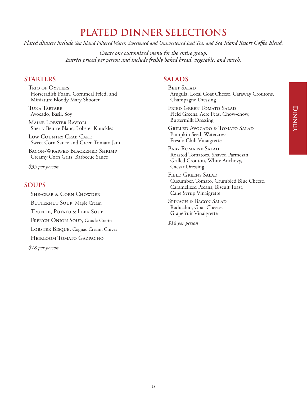## **PLATED DINNER SELECTIONS**

*Plated dinners include Sea Island Filtered Water, Sweetened and Unsweetened Iced Tea, and Sea Island Resort Coffee Blend.*

*Create one customized menu for the entire group. Entrées priced per person and include freshly baked bread, vegetable, and starch.*

#### **STARTERS**

Trio of Oysters Horseradish Foam, Cornmeal Fried, and Miniature Bloody Mary Shooter

Tuna Tartare Avocado, Basil, Soy

Maine Lobster Ravioli Sherry Beurre Blanc, Lobster Knuckles

Low Country Crab Cake Sweet Corn Sauce and Green Tomato Jam

Bacon-Wrapped Blackened Shrimp Creamy Corn Grits, Barbecue Sauce

*\$35 per person*

## **SOUPS**

SHE-CRAB & CORN CHOWDER BUTTERNUT SOUP, Maple Cream Truffle, Potato & Leek Soup French Onion Soup, Gouda Gratin LOBSTER BISQUE, Cognac Cream, Chives HEIRLOOM TOMATO GAZPACHO *\$18 per person*

## **SALADS**

**BEET SALAD** Arugula, Local Goat Cheese, Caraway Croutons, Champagne Dressing

Fried Green Tomato Salad Field Greens, Acre Peas, Chow-chow, Buttermilk Dressing

Grilled Avocado & Tomato Salad Pumpkin Seed, Watercress Fresno Chili Vinaigrette

Baby Romaine Salad Roasted Tomatoes, Shaved Parmesan, Grilled Crouton, White Anchovy, Caesar Dressing

Field Greens Salad Cucumber, Tomato, Crumbled Blue Cheese, Caramelized Pecans, Biscuit Toast, Cane Syrup Vinaigrette

Spinach & Bacon Salad Radicchio, Goat Cheese, Grapefruit Vinaigrette

*\$18 per person*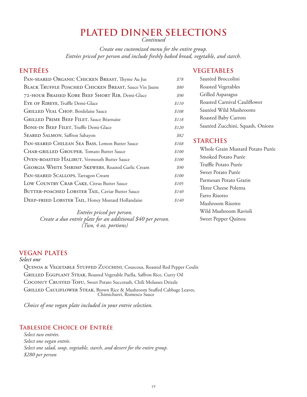## **PLATED DINNER SELECTIONS**

*Continued*

*Create one customized menu for the entire group. Entrées priced per person and include freshly baked bread, vegetable, and starch.*

## **ENTRÉES**

## **VEGETABLES**

| PAN-SEARED ORGANIC CHICKEN BREAST, Thyme Au Jus           | \$78  | Sautéed Broccolini               |
|-----------------------------------------------------------|-------|----------------------------------|
| BLACK TRUFFLE POACHED CHICKEN BREAST, Sauce Vin Jaune     | \$80  | Roasted Vegetables               |
| 72-HOUR BRAISED KOBE BEEF SHORT RIB, Demi-Glace           | \$90  | Grilled Asparagus                |
| EYE OF RIBEYE, Truffle Demi-Glace                         | \$110 | Roasted Carnival Cauliflower     |
| <b>GRILLED VEAL CHOP, Bordelaise Sauce</b>                | \$108 | Sautéed Wild Mushrooms           |
| GRILLED PRIME BEEF FILET, Sauce Béarnaise                 | \$118 | Roasted Baby Carrots             |
| BONE-IN BEEF FILET, Truffle Demi-Glace                    | \$120 | Sautéed Zucchini, Squash, Onions |
| SEARED SALMON, Saffron Sabayon                            | \$82  |                                  |
| PAN-SEARED CHILEAN SEA BASS, Lemon Butter Sauce           | \$168 | <b>STARCHES</b>                  |
| CHAR-GRILLED GROUPER, Tomato Butter Sauce                 | \$100 | Whole Grain Mustard Potato Purée |
| OVEN-ROASTED HALIBUT, Vermouth Butter Sauce               | \$100 | Smoked Potato Purée              |
| <b>GEORGIA WHITE SHRIMP SKEWERS, Roasted Garlic Cream</b> | \$90  | Truffle Potato Purée             |
| PAN-SEARED SCALLOPS, Tarragon Cream                       | \$100 | Sweet Potato Purée               |
| LOW COUNTRY CRAB CAKE, Citrus Butter Sauce                | \$105 | Parmesan Potato Gratin           |
| BUTTER-POACHED LOBSTER TAIL, Caviar Butter Sauce          | \$140 | Three Cheese Polenta             |
| DEEP-FRIED LOBSTER TAIL, Honey Mustard Hollandaise        | \$140 | Farro Risotto                    |
|                                                           |       | Mushroom Risotto                 |
|                                                           |       |                                  |

*Entrées priced per person. Create a duo entrée plate for an additional \$40 per person. (Two, 4 oz. portions)*

Wild Mushroom Ravioli Sweet Pepper Quinoa

## **VEGAN PLATES**

*Select one*

QUINOA & VEGETABLE STUFFED ZUCCHINI, Couscous, Roasted Red Pepper Coulis Grilled Eggplant Steak, Roasted Vegetable Paella, Saffron Rice, Curry Oil COCONUT CRUSTED TOFU, Sweet Potato Succotash, Chili Molasses Drizzle Grilled Cauliflower Steak, Brown Rice & Mushroom Stuffed Cabbage Leaves, Chimichurri, Romesco Sauce

*Choice of one vegan plate included in your entrée selection.*

### **Tableside Choice of Entrée**

*Select two entrées. Select one vegan entrée. Select one salad, soup, vegetable, starch, and dessert for the entire group. \$280 per person*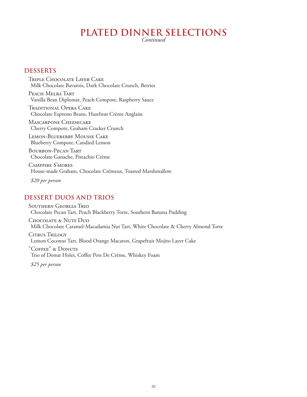## **PLATED DINNER SELECTIONS**

*Continued*

#### **DESSERTS**

Triple Chocolate Layer Cake Milk Chocolate Bavarois, Dark Chocolate Crunch, Berries

PEACH MELBA TART Vanilla Bean Diplomat, Peach Compote, Raspberry Sauce

Traditional Opera Cake Chocolate Espresso Beans, Hazelnut Crème Anglaise

Mascarpone Cheesecake Cherry Compote, Graham Cracker Crunch

Lemon-Blueberry Mousse Cake Blueberry Compote, Candied Lemon

Bourbon-Pecan Tart Chocolate Ganache, Pistachio Crème

Campfire S'mores House-made Graham, Chocolate Crémeux, Toasted Marshmallow

*\$20 per person*

#### **DESSERT DUOS AND TRIOS**

Southern Georgia Trio Chocolate Pecan Tart, Peach Blackberry Torte, Southern Banana Pudding Chocolate & Nuts Duo

Milk Chocolate Caramel-Macadamia Nut Tart, White Chocolate & Cherry Almond Torte

CITRUS TRILOGY Lemon Coconut Tart, Blood Orange Macaron, Grapefruit Mojito Layer Cake

"Coffee" & Donuts Trio of Donut Holes, Coffee Pots De Crème, Whiskey Foam

*\$25 per person*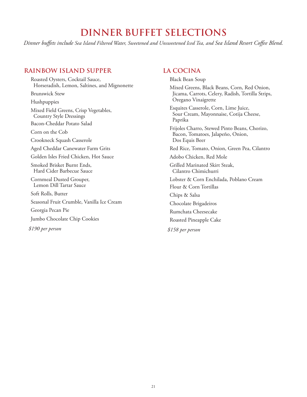## **DINNER BUFFET SELECTIONS**

*Dinner buffets include Sea Island Filtered Water, Sweetened and Unsweetened Iced Tea, and Sea Island Resort Coffee Blend.*

#### **RAINBOW ISLAND SUPPER**

Roasted Oysters, Cocktail Sauce, Horseradish, Lemon, Saltines, and Mignonette Brunswick Stew Hushpuppies Mixed Field Greens, Crisp Vegetables, Country Style Dressings Bacon-Cheddar Potato Salad Corn on the Cob Crookneck Squash Casserole Aged Cheddar Canewater Farm Grits Golden Isles Fried Chicken, Hot Sauce Smoked Brisket Burnt Ends, Hard Cider Barbecue Sauce Cornmeal Dusted Grouper, Lemon Dill Tartar Sauce Soft Rolls, Butter Seasonal Fruit Crumble, Vanilla Ice Cream Georgia Pecan Pie Jumbo Chocolate Chip Cookies *\$190 per person*

#### **LA COCINA**

Black Bean Soup

Mixed Greens, Black Beans, Corn, Red Onion, Jicama, Carrots, Celery, Radish, Tortilla Strips, Oregano Vinaigrette

Esquites Casserole, Corn, Lime Juice, Sour Cream, Mayonnaise, Cotija Cheese, Paprika

Frijoles Charro, Stewed Pinto Beans, Chorizo, Bacon, Tomatoes, Jalapeño, Onion, Dos Equis Beer

Red Rice, Tomato, Onion, Green Pea, Cilantro

Adobo Chicken, Red Mole

Grilled Marinated Skirt Steak, Cilantro Chimichurri

Lobster & Corn Enchilada, Poblano Cream

Flour & Corn Tortillas

Chips & Salsa

Chocolate Brigadeiros

Rumchata Cheesecake

Roasted Pineapple Cake

*\$158 per person*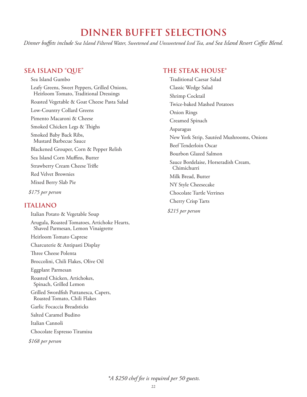## **DINNER BUFFET SELECTIONS**

*Dinner buffets include Sea Island Filtered Water, Sweetened and Unsweetened Iced Tea, and Sea Island Resort Coffee Blend.*

### **SEA ISLAND "QUE"**

Sea Island Gumbo Leafy Greens, Sweet Peppers, Grilled Onions, Heirloom Tomato, Traditional Dressings Roasted Vegetable & Goat Cheese Pasta Salad Low-Country Collard Greens Pimento Macaroni & Cheese Smoked Chicken Legs & Thighs Smoked Baby Back Ribs, Mustard Barbecue Sauce Blackened Grouper, Corn & Pepper Relish Sea Island Corn Muffins, Butter Strawberry Cream Cheese Trifle Red Velvet Brownies Mixed Berry Slab Pie

*\$175 per person*

#### **ITALIANO**

Italian Potato & Vegetable Soup Arugula, Roasted Tomatoes, Artichoke Hearts, Shaved Parmesan, Lemon Vinaigrette Heirloom Tomato Caprese Charcuterie & Antipasti Display Three Cheese Polenta Broccolini, Chili Flakes, Olive Oil Eggplant Parmesan Roasted Chicken, Artichokes, Spinach, Grilled Lemon Grilled Swordfish Puttanesca, Capers, Roasted Tomato, Chili Flakes Garlic Focaccia Breadsticks Salted Caramel Budino Italian Cannoli Chocolate Espresso Tiramisu *\$168 per person*

#### **THE STEAK HOUSE\***

Traditional Caesar Salad Classic Wedge Salad Shrimp Cocktail Twice-baked Mashed Potatoes Onion Rings Creamed Spinach Asparagus New York Strip, Sautéed Mushrooms, Onions Beef Tenderloin Oscar Bourbon Glazed Salmon Sauce Bordelaise, Horseradish Cream, Chimichurri Milk Bread, Butter NY Style Cheesecake Chocolate Turtle Verrines Cherry Crisp Tarts *\$215 per person*

*\*A \$250 chef fee is required per 50 guests.*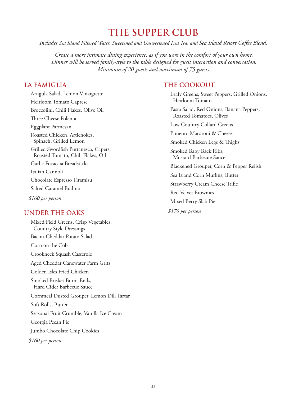## **THE SUPPER CLUB**

*Includes Sea Island Filtered Water, Sweetened and Unsweetened Iced Tea, and Sea Island Resort Coffee Blend.*

*Create a more intimate dining experience, as if you were in the comfort of your own home. Dinner will be served family-style to the table designed for guest interaction and conversation. Minimum of 20 guests and maximum of 75 guests.*

## **LA FAMIGLIA**

Arugula Salad, Lemon Vinaigrette Heirloom Tomato Caprese Broccolini, Chili Flakes, Olive Oil Three Cheese Polenta Eggplant Parmesan Roasted Chicken, Artichokes, Spinach, Grilled Lemon Grilled Swordfish Puttanesca, Capers, Roasted Tomato, Chili Flakes, Oil Garlic Focaccia Breadsticks Italian Cannoli Chocolate Espresso Tiramisu Salted Caramel Budino *\$160 per person*

## **UNDER THE OAKS**

Mixed Field Greens, Crisp Vegetables, Country Style Dressings Bacon-Cheddar Potato Salad Corn on the Cob Crookneck Squash Casserole Aged Cheddar Canewater Farm Grits Golden Isles Fried Chicken Smoked Brisket Burnt Ends, Hard Cider Barbecue Sauce Cornmeal Dusted Grouper, Lemon Dill Tartar Soft Rolls, Butter Seasonal Fruit Crumble, Vanilla Ice Cream Georgia Pecan Pie Jumbo Chocolate Chip Cookies *\$160 per person*

## **THE COOKOUT**

Leafy Greens, Sweet Peppers, Grilled Onions, Heirloom Tomato Pasta Salad, Red Onions, Banana Peppers, Roasted Tomatoes, Olives Low Country Collard Greens Pimento Macaroni & Cheese Smoked Chicken Legs & Thighs Smoked Baby Back Ribs, Mustard Barbecue Sauce Blackened Grouper, Corn & Pepper Relish Sea Island Corn Muffins, Butter Strawberry Cream Cheese Trifle Red Velvet Brownies Mixed Berry Slab Pie *\$170 per person*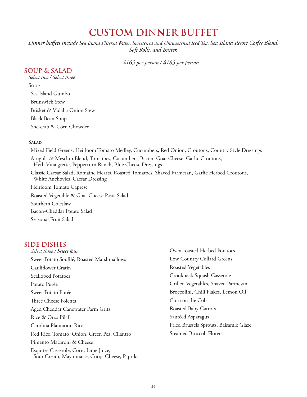## **CUSTOM DINNER BUFFET**

*Dinner buffets include Sea Island Filtered Water, Sweetened and Unsweetened Iced Tea, Sea Island Resort Coffee Blend, Soft Rolls, and Butter.* 

*\$165 per person / \$185 per person*

#### **SOUP & SALAD**

*Select two / Select three* Soup Sea Island Gumbo Brunswick Stew Brisket & Vidalia Onion Stew Black Bean Soup She-crab & Corn Chowder

#### **SALAD**

Mixed Field Greens, Heirloom Tomato Medley, Cucumbers, Red Onion, Croutons, Country Style Dressings Arugula & Mesclun Blend, Tomatoes, Cucumbers, Bacon, Goat Cheese, Garlic Croutons, Herb Vinaigrette, Peppercorn Ranch, Blue Cheese Dressings Classic Caesar Salad, Romaine Hearts, Roasted Tomatoes, Shaved Parmesan, Garlic Herbed Croutons, White Anchovies, Caesar Dressing Heirloom Tomato Caprese Roasted Vegetable & Goat Cheese Pasta Salad Southern Coleslaw Bacon-Cheddar Potato Salad

Seasonal Fruit Salad

## **SIDE DISHES**

| Select three / Select four                                                              | Oven-roasted Herbed Potatoes           |
|-----------------------------------------------------------------------------------------|----------------------------------------|
| Sweet Potato Soufflé, Roasted Marshmallows                                              | Low Country Collard Greens             |
| Cauliflower Gratin                                                                      | Roasted Vegetables                     |
| Scalloped Potatoes                                                                      | Crookneck Squash Casserole             |
| Potato Purée                                                                            | Grilled Vegetables, Shaved Parmesan    |
| Sweet Potato Purée                                                                      | Broccolini, Chili Flakes, Lemon Oil    |
| Three Cheese Polenta                                                                    | Corn on the Cob                        |
| Aged Cheddar Canewater Farm Grits                                                       | Roasted Baby Carrots                   |
| Rice & Orzo Pilaf                                                                       | Sautéed Asparagus                      |
| Carolina Plantation Rice                                                                | Fried Brussels Sprouts, Balsamic Glaze |
| Red Rice, Tomato, Onion, Green Pea, Cilantro                                            | Steamed Broccoli Florets               |
| Pimento Macaroni & Cheese                                                               |                                        |
| Esquites Casserole, Corn, Lime Juice,<br>Sour Cream, Mayonnaise, Cotija Cheese, Paprika |                                        |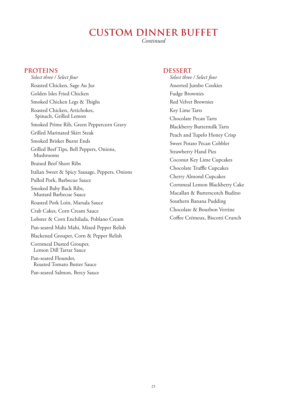## **CUSTOM DINNER BUFFET**

*Continued*

#### **PROTEINS**

*Select three / Select four* Roasted Chicken, Sage Au Jus Golden Isles Fried Chicken Smoked Chicken Legs & Thighs Roasted Chicken, Artichokes, Spinach, Grilled Lemon Smoked Prime Rib, Green Peppercorn Gravy Grilled Marinated Skirt Steak Smoked Brisket Burnt Ends Grilled Beef Tips, Bell Peppers, Onions, Mushrooms Braised Beef Short Ribs Italian Sweet & Spicy Sausage, Peppers, Onions Pulled Pork, Barbecue Sauce Smoked Baby Back Ribs, Mustard Barbecue Sauce Roasted Pork Loin, Marsala Sauce Crab Cakes, Corn Cream Sauce Lobster & Corn Enchilada, Poblano Cream Pan-seared Mahi Mahi, Mixed Pepper Relish Blackened Grouper, Corn & Pepper Relish Cornmeal Dusted Grouper, Lemon Dill Tartar Sauce Pan-seared Flounder, Roasted Tomato Butter Sauce Pan-seared Salmon, Bercy Sauce

#### **DESSERT**

*Select three / Select four* Assorted Jumbo Cookies Fudge Brownies Red Velvet Brownies Key Lime Tarts Chocolate Pecan Tarts Blackberry Buttermilk Tarts Peach and Tupelo Honey Crisp Sweet Potato Pecan Cobbler Strawberry Hand Pies Coconut Key Lime Cupcakes Chocolate Truffle Cupcakes Cherry Almond Cupcakes Cornmeal Lemon Blackberry Cake Macallan & Butterscotch Budino Southern Banana Pudding Chocolate & Bourbon Verrine Coffee Crémeux, Biscotti Crunch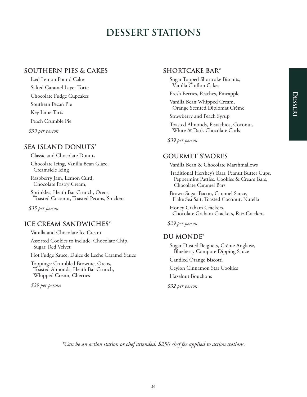## **DESSERT STATIONS**

### **SOUTHERN PIES & CAKES**

Iced Lemon Pound Cake Salted Caramel Layer Torte Chocolate Fudge Cupcakes Southern Pecan Pie Key Lime Tarts Peach Crumble Pie *\$39 per person*

## **SEA ISLAND DONUTS\***

Classic and Chocolate Donuts Chocolate Icing, Vanilla Bean Glaze, Creamsicle Icing

Raspberry Jam, Lemon Curd, Chocolate Pastry Cream,

Sprinkles, Heath Bar Crunch, Oreos, Toasted Coconut, Toasted Pecans, Snickers

*\$35 per person*

### **ICE CREAM SANDWICHES**\*

Vanilla and Chocolate Ice Cream

Assorted Cookies to include: Chocolate Chip, Sugar, Red Velvet

Hot Fudge Sauce, Dulce de Leche Caramel Sauce

Toppings: Crumbled Brownie, Oreos, Toasted Almonds, Heath Bar Crunch, Whipped Cream, Cherries

*\$29 per person*

### **SHORTCAKE BAR\***

Sugar Topped Shortcake Biscuits, Vanilla Chiffon Cakes

Fresh Berries, Peaches, Pineapple

Vanilla Bean Whipped Cream, Orange Scented Diplomat Crème

Strawberry and Peach Syrup

Toasted Almonds, Pistachios, Coconut, White & Dark Chocolate Curls

*\$39 per person*

#### **GOURMET S'MORES**

Vanilla Bean & Chocolate Marshmallows

Traditional Hershey's Bars, Peanut Butter Cups, Peppermint Patties, Cookies & Cream Bars, Chocolate Caramel Bars

Brown Sugar Bacon, Caramel Sauce, Flake Sea Salt, Toasted Coconut, Nutella

Honey Graham Crackers, Chocolate Graham Crackers, Ritz Crackers

*\$29 per person*

#### **DU MONDE\***

Sugar Dusted Beignets, Crème Anglaise, Blueberry Compote Dipping Sauce

Candied Orange Biscotti

Ceylon Cinnamon Star Cookies

Hazelnut Bouchons

*\$32 per person*

*\*Can be an action station or chef attended. \$250 chef fee applied to action stations.*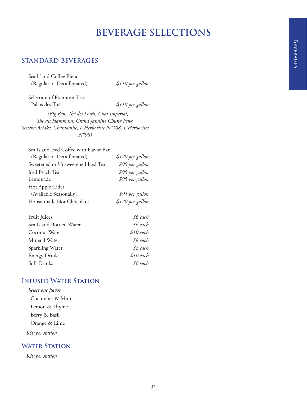## **STANDARD BEVERAGES**

Sea Island Coffee Blend (Regular or Decaffeinated) *\$110 per gallon*

Selection of Premium Teas Palais des Thés *\$110 per gallon*

*(Big Ben, Thé des Lords, Chai Imperial, Thé du Hammam, Grand Jasmine Chung Feng, Sencha Ariake, Chamomile, L'Herboriste N°108, L'Herboriste N°95)*

| Sea Island Iced Coffee with Flavor Bar |                  |
|----------------------------------------|------------------|
| (Regular or Decaffeinated)             | \$120 per gallon |
| Sweetened or Unsweetened Iced Tea      | \$95 per gallon  |
| Iced Peach Tea                         | \$95 per gallon  |
| Lemonade                               | \$95 per gallon  |
| Hot Apple Cider                        |                  |
| (Available Seasonally)                 | \$95 per gallon  |
| House-made Hot Chocolate               | \$120 per gallon |
|                                        |                  |

| Fruit Juices             | \$6 each   |
|--------------------------|------------|
| Sea Island Bottled Water | \$6 each   |
| Coconut Water            | $$10$ each |
| Mineral Water            | \$8 each   |
| Sparkling Water          | \$8 each   |
| <b>Energy Drinks</b>     | $$10$ each |
| Soft Drinks              | \$6 each   |
|                          |            |

#### **Infused Water Station**

*Select one flavor,* Cucumber & Mint Lemon & Thyme Berry & Basil Orange & Lime *\$30 per station*

### **WATER STATION**

*\$20 per station*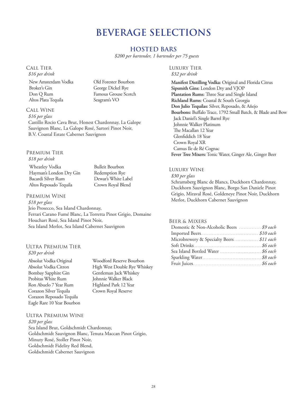#### **HOSTED BARS**

*\$200 per bartender, 1 bartender per 75 guests*

#### Call Tier

*\$16 per drink*

New Amsterdam Vodka Broker's Gin Don Q Rum Altos Plata Tequila

Old Forester Bourbon George Dickel Rye Famous Grouse Scotch Seagram's VO

Bulleit Bourbon Redemption Rye Dewar's White Label Crown Royal Blend

#### Call Wine

*\$16 per glass* Castillo Rocio Cava Brut, Honest Chardonnay, La Galope Sauvignon Blanc, La Galope Rosé, Sartori Pinot Noir, B.V. Coastal Estate Cabernet Sauvignon

#### Premium Tier

*\$18 per drink*

Wheatley Vodka Hayman's London Dry Gin Bacardi Silver Rum Altos Reposado Tequila

#### Premium Wine

*\$18 per glass* Jeio Prosecco, Sea Island Chardonnay, Ferrari Carano Fumé Blanc, La Torretta Pinot Grigio, Domaine Houchart Rosé, Sea Island Pinot Noir, Sea Island Merlot, Sea Island Cabernet Sauvignon

#### Ultra Premium Tier *\$20 per drink*

Absolut Vodka Original Absolut Vodka Citron Bombay Sapphire Gin Probitas White Rum Ron Abuelo 7 Year Rum Corazon Silver Tequila Corazon Reposado Tequila Eagle Rare 10 Year Bourbon

Woodford Reserve Bourbon High West Double Rye Whiskey Gentleman Jack Whiskey Johnnie Walker Black Highland Park 12 Year Crown Royal Reserve

#### Ultra Premium Wine

*\$20 per glass* Sea Island Brut, Goldschmidt Chardonnay, Goldschmidt Sauvignon Blanc, Tenuta Maccan Pinot Grigio, Minuty Rosé, Stoller Pinot Noir, Goldschmidt Fidelity Red Blend, Goldschmidt Cabernet Sauvignon

#### Luxury Tier

*\$32 per drink*

**Manifest Distilling Vodka:** Original and Florida Citrus **Sipsmith Gins:** London Dry and VJOP **Plantation Rums:** Three Star and Single Island **Richland Rums**: Coastal & South Georgia **Don Julio Tequilas:** Silver, Reposado, & Añejo **Bourbons:** Buffalo Trace, 1792 Small Batch, & Blade and Bow Jack Daniel's Single Barrel Rye Johnnie Walker Platinum The Macallan 12 Year Glenfiddich 18 Year Crown Royal XR Camus Ile de Ré Cognac **Fever Tree Mixers:** Tonic Water, Ginger Ale, Ginger Beer

#### Luxury Wine

*\$30 per glass* Schramsberg Blanc de Blancs, Duckhorn Chardonnay, Duckhorn Sauvignon Blanc, Borgo San Daniele Pinot Grigio, Miraval Rosé, Goldeneye Pinot Noir, Duckhorn Merlot, Duckhorn Cabernet Sauvignon

#### Beer & Mixers

| Domestic & Non-Alcoholic Beers  \$9 each |  |
|------------------------------------------|--|
|                                          |  |
| Microbrewery & Specialty Beers \$11 each |  |
|                                          |  |
|                                          |  |
|                                          |  |
|                                          |  |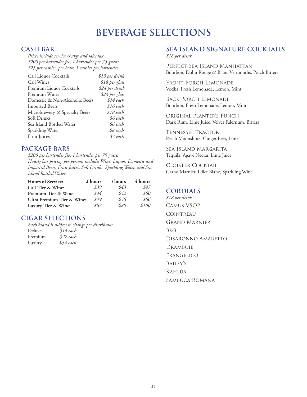#### **CASH BAR**

*Prices include service charge and sales tax \$200 per bartender fee, 1 bartender per 75 guests \$25 per cashier, per hour, 1 cashier per bartender*

| Call Liquor Cocktails          | \$19 per drink |
|--------------------------------|----------------|
| Call Wines                     | \$18 per glass |
| Premium Liquor Cocktails       | \$24 per drink |
| Premium Wines                  | \$23 per glass |
| Domestic & Non-Alcoholic Beers | $$14$ each     |
| <b>Imported Beers</b>          | \$16 each      |
| Microbrewery & Specialty Beers | \$18 each      |
| Soft Drinks                    | \$6 each       |
| Sea Island Bottled Water       | \$6 each       |
| Sparkling Water                | \$8 each       |
| Fruit Juices                   | \$7 each       |

#### **PACKAGE BARS**

*\$200 per bartender fee, 1 bartender per 75 guests Hourly bar pricing per person, includes Wine, Liquor, Domestic and Imported Beers, Fruit Juices, Soft Drinks, Sparkling Water, and Sea Island Bottled Water*

| <b>Hours of Service:</b>   | 2 hours | 3 hours | 4 hours |
|----------------------------|---------|---------|---------|
| Call Tier & Wine:          | \$39    | \$43    | \$47    |
| Premium Tier & Wine:       | \$44    | \$52    | \$60    |
| Ultra Premium Tier & Wine: | \$49    | \$56    | \$66    |
| Luxury Tier & Wine:        | 867     | \$80    | \$100   |

## **CIGAR SELECTIONS**

*Each brand is subject to change per distributor.*  Deluxe *\$14 each* Premium *\$22 each* Luxury *\$34 each*

## **SEA ISLAND SIGNATURE COCKTAILS**

*\$18 per drink*

Perfect Sea Island Manhattan Bourbon, Dolin Rouge & Blanc Vermouths, Peach Bitters

Front Porch Lemonade Vodka, Fresh Lemonade, Lemon, Mint

Back Porch Lemonade Bourbon, Fresh Lemonade, Lemon, Mint

Original Planter's Punch Dark Rum, Lime Juice, Velvet Falernum, Bitters

Tennessee Tractor Peach Moonshine, Ginger Beer, Lime

Sea Island Margarita Tequila, Agave Nectar, Lime Juice

Cloister Cocktail Grand Marnier, Lillet Blanc, Sparkling Wine

### **CORDIALS**

*\$18 per drink* Camus VSOP **COINTREAU** Grand Marnier B&B Disaronno Amaretto **DRAMBUIE** Frangelico Bailey's Kahlúa Sambuca Romana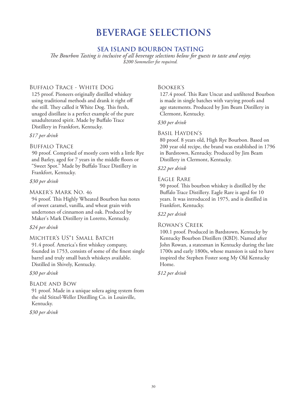### **SEA ISLAND BOURBON TASTING**

*The Bourbon Tasting is inclusive of all beverage selections below for guests to taste and enjoy. \$200 Sommelier fee required.*

#### Buffalo Trace - White Dog

125 proof. Pioneers originally distilled whiskey using traditional methods and drank it right off the still. They called it White Dog. This fresh, unaged distillate is a perfect example of the pure unadulterated spirit. Made by Buffalo Trace Distillery in Frankfort, Kentucky.

#### *\$17 per drink*

#### Buffalo Trace

90 proof. Comprised of mostly corn with a little Rye and Barley, aged for 7 years in the middle floors or "Sweet Spot." Made by Buffalo Trace Distillery in Frankfort, Kentucky.

#### *\$30 per drink*

#### Maker's Mark No. 46

94 proof. This Highly Wheated Bourbon has notes of sweet caramel, vanilla, and wheat grain with undertones of cinnamon and oak. Produced by Maker's Mark Distillery in Loretto, Kentucky.

#### *\$24 per drink*

#### Michter's US\*1 Small Batch

91.4 proof. America's first whiskey company, founded in 1753, consists of some of the finest single barrel and truly small batch whiskeys available. Distilled in Shively, Kentucky.

#### *\$30 per drink*

#### Blade and Bow

91 proof. Made in a unique solera aging system from the old Stitzel-Weller Distilling Co. in Louisville, Kentucky.

#### *\$30 per drink*

#### Booker's

127.4 proof. This Rare Uncut and unfiltered Bourbon is made in single batches with varying proofs and age statements. Produced by Jim Beam Distillery in Clermont, Kentucky.

#### *\$30 per drink*

#### Basil Hayden's

80 proof. 8 years old, High Rye Bourbon. Based on 200 year old recipe, the brand was established in 1796 in Bardstown, Kentucky. Produced by Jim Beam Distillery in Clermont, Kentucky.

#### *\$22 per drink*

#### Eagle Rare

90 proof. This bourbon whiskey is distilled by the Buffalo Trace Distillery. Eagle Rare is aged for 10 years. It was introduced in 1975, and is distilled in Frankfort, Kentucky.

#### *\$22 per drink*

#### Rowan's Creek

100.1 proof. Produced in Bardstown, Kentucky by Kentucky Bourbon Distillers (KBD). Named after John Rowan, a statesman in Kentucky during the late 1700s and early 1800s, whose mansion is said to have inspired the Stephen Foster song My Old Kentucky Home.

#### *\$12 per drink*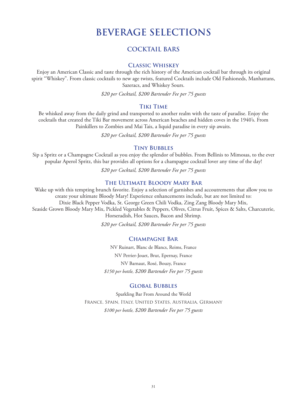## **COCKTAIL BARS**

#### **Classic Whiskey**

Enjoy an American Classic and taste through the rich history of the American cocktail bar through its original spirit "Whiskey". From classic cocktails to new age twists, featured Cocktails include Old Fashioneds, Manhattans, Sazeracs, and Whiskey Sours.

*\$20 per Cocktail, \$200 Bartender Fee per 75 guests*

#### **Tiki Time**

Be whisked away from the daily grind and transported to another realm with the taste of paradise. Enjoy the cocktails that created the Tiki Bar movement across American beaches and hidden coves in the 1940's. From Painkillers to Zombies and Mai Tais, a liquid paradise in every sip awaits.

*\$20 per Cocktail, \$200 Bartender Fee per 75 guests*

#### **Tiny Bubbles**

Sip a Spritz or a Champagne Cocktail as you enjoy the splendor of bubbles. From Bellinis to Mimosas, to the ever popular Aperol Spritz, this bar provides all options for a champagne cocktail lover any time of the day!

*\$20 per Cocktail, \$200 Bartender Fee per 75 guests*

#### **The Ultimate Bloody Mary Bar**

Wake up with this tempting brunch favorite. Enjoy a selection of garnishes and accoutrements that allow you to create your ultimate Bloody Mary! Experience enhancements include, but are not limited to: Dixie Black Pepper Vodka, St. George Green Chili Vodka, Zing Zang Bloody Mary Mix, Seaside Grown Bloody Mary Mix, Pickled Vegetables & Peppers, Olives, Citrus Fruit, Spices & Salts, Charcuterie, Horseradish, Hot Sauces, Bacon and Shrimp.

*\$20 per Cocktail, \$200 Bartender Fee per 75 guests*

#### **Champagne Bar**

NV Ruinart, Blanc de Blancs, Reims, France NV Perrier-Jouet, Brut, Epernay, France NV Barnaut, Rosé, Bouzy, France *\$150 per bottle, \$200 Bartender Fee per 75 guests*

#### **Global Bubbles**

Sparkling Bar From Around the World France, Spain, Italy, United States, Australia, Germany *\$100 per bottle, \$200 Bartender Fee per 75 guests*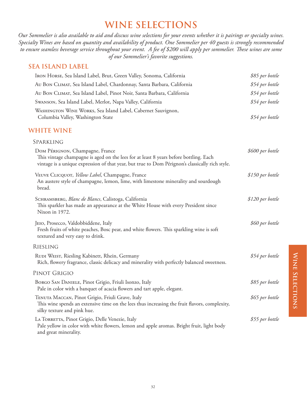*Our Sommelier is also available to aid and discuss wine selections for your events whether it is pairings or specialty wines. Specialty Wines are based on quantity and availability of product. One Sommelier per 40 guests is strongly recommended to ensure seamless beverage service throughout your event. A fee of \$200 will apply per sommelier. These wines are some of our Sommelier's favorite suggestions.*

## **SEA ISLAND LABEL**

| IRON HORSE, Sea Island Label, Brut, Green Valley, Sonoma, California                                                                                                                                                        | \$85 per bottle  |
|-----------------------------------------------------------------------------------------------------------------------------------------------------------------------------------------------------------------------------|------------------|
| AU BON CLIMAT, Sea Island Label, Chardonnay, Santa Barbara, California                                                                                                                                                      | \$54 per bottle  |
| Au Bon CLIMAT, Sea Island Label, Pinot Noir, Santa Barbara, California                                                                                                                                                      | \$54 per bottle  |
| Swanson, Sea Island Label, Merlot, Napa Valley, California                                                                                                                                                                  | \$54 per bottle  |
| WASHINGTON WINE WORKS, Sea Island Label, Cabernet Sauvignon,<br>Columbia Valley, Washington State                                                                                                                           | \$54 per bottle  |
| <b>WHITE WINE</b>                                                                                                                                                                                                           |                  |
| SPARKLING                                                                                                                                                                                                                   |                  |
| Dom PÉRIGNON, Champagne, France<br>This vintage champagne is aged on the lees for at least 8 years before bottling. Each<br>vintage is a unique expression of that year, but true to Dom Pérignon's classically rich style. | \$600 per bottle |
| VEUVE CLICQUOT, Yellow Label, Champagne, France<br>An austere style of champagne, lemon, lime, with limestone minerality and sourdough<br>bread.                                                                            | \$150 per bottle |
| SCHRAMSBERG, Blanc de Blancs, Calistoga, California<br>This sparkler has made an appearance at the White House with every President since<br>Nixon in 1972.                                                                 | \$120 per bottle |
| JEIO, Prosecco, Valdobbiddene, Italy<br>Fresh fruits of white peaches, Bosc pear, and white flowers. This sparkling wine is soft<br>textured and very easy to drink.                                                        | \$60 per bottle  |
| <b>RIESLING</b>                                                                                                                                                                                                             |                  |
| RUDI WEIST, Riesling Kabinett, Rhein, Germany<br>Rich, flowery fragrance, classic delicacy and minerality with perfectly balanced sweetness.                                                                                | \$54 per bottle  |
| PINOT GRIGIO                                                                                                                                                                                                                |                  |
| BORGO SAN DANIELE, Pinot Grigio, Friuli Isonzo, Italy<br>Pale in color with a banquet of acacia flowers and tart apple, elegant.                                                                                            | \$85 per bottle  |
| TENUTA MACCAN, Pinot Grigio, Friuli Grave, Italy<br>This wine spends an extensive time on the lees thus increasing the fruit flavors, complexity,<br>silky texture and pink hue.                                            | \$65 per bottle  |
| LA TORRETTA, Pinot Grigio, Delle Venezie, Italy<br>Pale yellow in color with white flowers, lemon and apple aromas. Bright fruit, light body<br>and great minerality.                                                       | \$55 per bottle  |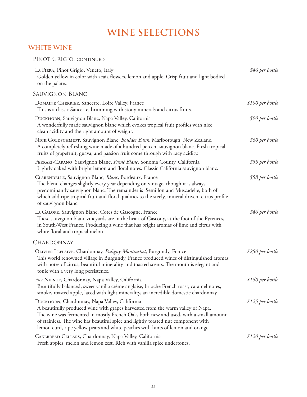## **WHITE WINE**

## PINOT GRIGIO, CONTINUED

| LA FIERA, Pinot Grigio, Veneto, Italy<br>Golden yellow in color with acaia flowers, lemon and apple. Crisp fruit and light bodied<br>on the palate                                                                                                                                                                                                                                              | \$46 per bottle  |
|-------------------------------------------------------------------------------------------------------------------------------------------------------------------------------------------------------------------------------------------------------------------------------------------------------------------------------------------------------------------------------------------------|------------------|
| SAUVIGNON BLANC                                                                                                                                                                                                                                                                                                                                                                                 |                  |
| DOMAINE CHERRIER, Sancerre, Loire Valley, France<br>This is a classic Sancerre, brimming with stony minerals and citrus fruits.                                                                                                                                                                                                                                                                 | \$100 per bottle |
| DUCKHORN, Sauvignon Blanc, Napa Valley, California<br>A wonderfully made sauvignon blanc which evokes tropical fruit profiles with nice<br>clean acidity and the right amount of weight.                                                                                                                                                                                                        | \$90 per bottle  |
| NICK GOLDSCHMIDT, Sauvignon Blanc, Boulder Bank, Marlborough, New Zealand<br>A completely refreshing wine made of a hundred percent sauvignon blanc. Fresh tropical<br>fruits of grapefruit, guava, and passion fruit come through with racy acidity.                                                                                                                                           | \$60 per bottle  |
| FERRARI-CARANO, Sauvignon Blanc, Fumé Blanc, Sonoma County, California<br>Lightly oaked with bright lemon and floral notes. Classic California sauvignon blanc.                                                                                                                                                                                                                                 | \$55 per bottle  |
| CLARENDELLE, Sauvignon Blanc, Blanc, Bordeaux, France<br>The blend changes slightly every year depending on vintage, though it is always<br>predominantly sauvignon blanc. The remainder is Semillon and Muscadelle, both of<br>which add ripe tropical fruit and floral qualities to the steely, mineral driven, citrus profile<br>of sauvignon blanc.                                         | \$58 per bottle  |
| LA GALOPE, Sauvignon Blanc, Cotes de Gascogne, France<br>These sauvignon blanc vineyards are in the heart of Gascony, at the foot of the Pyrenees,<br>in South-West France. Producing a wine that has bright aromas of lime and citrus with<br>white floral and tropical melon.                                                                                                                 | \$46 per bottle  |
| CHARDONNAY                                                                                                                                                                                                                                                                                                                                                                                      |                  |
| OLIVIER LEFLAIVE, Chardonnay, Puligny-Montrachet, Burgundy, France<br>This world renowned village in Burgundy, France produced wines of distinguished aromas<br>with notes of citrus, beautiful minerality and toasted scents. The mouth is elegant and<br>tonic with a very long persistence.                                                                                                  | \$250 per bottle |
| FAR NIENTE, Chardonnay, Napa Valley, California<br>Beautifully balanced, sweet vanilla crème anglaise, brioche French toast, caramel notes,<br>smoke, roasted apple, laced with light minerality, an incredible domestic chardonnay.                                                                                                                                                            | \$160 per bottle |
| DUCKHORN, Chardonnay, Napa Valley, California<br>A beautifully produced wine with grapes harvested from the warm valley of Napa.<br>The wine was fermented in mostly French Oak, both new and used, with a small amount<br>of stainless. The wine has beautiful spice and lightly toasted nut component with<br>lemon curd, ripe yellow pears and white peaches with hints of lemon and orange. | \$125 per bottle |
| CAKEBREAD CELLARS, Chardonnay, Napa Valley, California<br>Fresh apples, melon and lemon zest. Rich with vanilla spice undertones.                                                                                                                                                                                                                                                               | \$120 per bottle |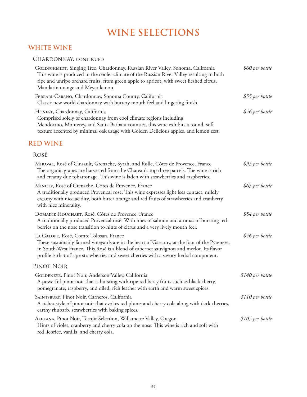## **WHITE WINE**

## CHARDONNAY, CONTINUED

| GOLDSCHMIDT, Singing Tree, Chardonnay, Russian River Valley, Sonoma, California<br>This wine is produced in the cooler climate of the Russian River Valley resulting in both<br>ripe and unripe orchard fruits, from green apple to apricot, with sweet fleshed citrus,<br>Mandarin orange and Meyer lemon.                  | \$60 per bottle   |
|------------------------------------------------------------------------------------------------------------------------------------------------------------------------------------------------------------------------------------------------------------------------------------------------------------------------------|-------------------|
| FERRARI-CARANO, Chardonnay, Sonoma County, California<br>Classic new world chardonnay with buttery mouth feel and lingering finish.                                                                                                                                                                                          | \$55 per bottle   |
| HONEST, Chardonnay, California<br>Comprised solely of chardonnay from cool climate regions including<br>Mendocino, Monterey, and Santa Barbara counties, this wine exhibits a round, soft<br>texture accented by minimal oak usage with Golden Delicious apples, and lemon zest.                                             | \$46 per bottle   |
| <b>RED WINE</b>                                                                                                                                                                                                                                                                                                              |                   |
| ROSÉ                                                                                                                                                                                                                                                                                                                         |                   |
| MIRAVAL, Rosé of Cinsault, Grenache, Syrah, and Rolle, Côtes de Provence, France<br>The organic grapes are harvested from the Chateau's top three parcels. The wine is rich<br>and creamy due tobattonage. This wine is laden with strawberries and raspberries.                                                             | \$95 per bottle   |
| MINUTY, Rosé of Grenache, Côtes de Provence, France<br>A traditionally produced Provençal rosé. This wine expresses light lees contact, mildly<br>creamy with nice acidity, both bitter orange and red fruits of strawberries and cranberry<br>with nice minerality.                                                         | \$65 per bottle   |
| DOMAINE HOUCHART, Rosé, Côtes de Provence, France<br>A traditionally produced Provencal rosé. With hues of salmon and aromas of bursting red<br>berries on the nose transition to hints of citrus and a very lively mouth feel.                                                                                              | \$54 per bottle   |
| LA GALOPE, Rosé, Comte Tolosan, France<br>These sustainably farmed vineyards are in the heart of Gascony, at the foot of the Pyrenees,<br>in South-West France. This Rosé is a blend of cabernet sauvignon and merlot. Its flavor<br>profile is that of ripe strawberries and sweet cherries with a savory herbal component. | \$46 per bottle   |
| PINOT NOIR                                                                                                                                                                                                                                                                                                                   |                   |
| GOLDENEYE, Pinot Noir, Anderson Valley, California<br>A powerful pinot noir that is bursting with ripe red berry fruits such as black cherry,<br>pomegranate, raspberry, and oiled, rich leather with earth and warm sweet spices.                                                                                           | \$140 per bottle  |
| SAINTSBURY, Pinot Noir, Carneros, California<br>A richer style of pinot noir that evokes red plums and cherry cola along with dark cherries,<br>earthy rhubarb, strawberries with baking spices.                                                                                                                             | \$110 per bottle  |
| ALEXANA, Pinot Noir, Terroir Selection, Willamette Valley, Oregon<br>Hints of violet, cranberry and cherry cola on the nose. This wine is rich and soft with<br>red licorice, vanilla, and cherry cola.                                                                                                                      | $$105$ per bottle |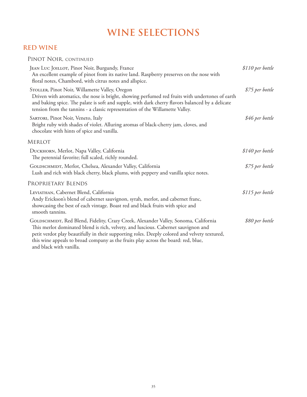## **RED WINE**

| PINOT NOIR, CONTINUED                                                                                                                                                                                                                                                                                                                                                                       |                   |
|---------------------------------------------------------------------------------------------------------------------------------------------------------------------------------------------------------------------------------------------------------------------------------------------------------------------------------------------------------------------------------------------|-------------------|
| JEAN LUC JOILLOT, Pinot Noir, Burgundy, France<br>An excellent example of pinot from its native land. Raspberry preserves on the nose with<br>floral notes, Chambord, with citrus notes and allspice.                                                                                                                                                                                       | $$110$ per bottle |
| STOLLER, Pinot Noir, Willamette Valley, Oregon<br>Driven with aromatics, the nose is bright, showing perfumed red fruits with undertones of earth<br>and baking spice. The palate is soft and supple, with dark cherry flavors balanced by a delicate<br>tension from the tannins - a classic representation of the Willamette Valley.                                                      | \$75 per bottle   |
| SARTORI, Pinot Noir, Veneto, Italy<br>Bright ruby with shades of violet. Alluring aromas of black-cherry jam, cloves, and<br>chocolate with hints of spice and vanilla.                                                                                                                                                                                                                     | \$46 per bottle   |
| <b>MERLOT</b>                                                                                                                                                                                                                                                                                                                                                                               |                   |
| DUCKHORN, Merlot, Napa Valley, California<br>The perennial favorite; full scaled, richly rounded.                                                                                                                                                                                                                                                                                           | \$140 per bottle  |
| GOLDSCHMIDT, Merlot, Chelsea, Alexander Valley, California<br>Lush and rich with black cherry, black plums, with peppery and vanilla spice notes.                                                                                                                                                                                                                                           | \$75 per bottle   |
| PROPRIETARY BLENDS                                                                                                                                                                                                                                                                                                                                                                          |                   |
| LEVIATHAN, Cabernet Blend, California<br>Andy Erickson's blend of cabernet sauvignon, syrah, merlot, and cabernet franc,<br>showcasing the best of each vintage. Boast red and black fruits with spice and<br>smooth tannins.                                                                                                                                                               | \$115 per bottle  |
| GOLDSCHMIDT, Red Blend, Fidelity, Crazy Creek, Alexander Valley, Sonoma, California<br>This merlot dominated blend is rich, velvety, and luscious. Cabernet sauvignon and<br>petit verdot play beautifully in their supporting roles. Deeply colored and velvety textured,<br>this wine appeals to broad company as the fruits play across the board: red, blue,<br>and black with vanilla. | \$80 per bottle   |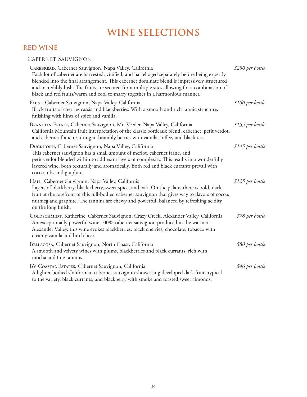## **RED WINE**

## Cabernet Sauvignon

| CAKEBREAD, Cabernet Sauvignon, Napa Valley, California<br>Each lot of cabernet are harvested, vinified, and barrel-aged separately before being expertly<br>blended into the final arrangement. This cabernet dominate blend is impressively structured<br>and incredibly lush. The fruits are secured from multiple sites allowing for a combination of<br>black and red fruits/warm and cool to marry together in a harmonious manner. | \$250 per bottle |
|------------------------------------------------------------------------------------------------------------------------------------------------------------------------------------------------------------------------------------------------------------------------------------------------------------------------------------------------------------------------------------------------------------------------------------------|------------------|
| FAUST, Cabernet Sauvignon, Napa Valley, California<br>Black fruits of cherries cassis and blackberries. With a smooth and rich tannic structure,<br>finishing with hints of spice and vanilla.                                                                                                                                                                                                                                           | \$160 per bottle |
| BRANDLIN ESTATE, Cabernet Sauvignon, Mt. Veeder, Napa Valley, California<br>California Mountain fruit interpretation of the classic bordeaux blend, cabernet, petit verdot,<br>and cabernet franc resulting in brambly berries with vanilla, toffee, and black tea.                                                                                                                                                                      | \$155 per bottle |
| Ducкновм, Cabernet Sauvignon, Napa Valley, California<br>This cabernet sauvignon has a small amount of merlot, cabernet franc, and<br>petit verdot blended within to add extra layers of complexity. This results in a wonderfully<br>layered wine, both texturally and aromatically. Both red and black currants prevail with<br>cocoa nibs and graphite.                                                                               | \$145 per bottle |
| HALL, Cabernet Sauvignon, Napa Valley, California<br>Layers of blackberry, black cherry, sweet spice, and oak. On the palate, there is bold, dark<br>fruit at the forefront of this full-bodied cabernet sauvignon that gives way to flavors of cocoa,<br>nutmeg and graphite. The tannins are chewy and powerful, balanced by refreshing acidity<br>on the long finish.                                                                 | \$125 per bottle |
| GOLDSCHMIDT, Katherine, Cabernet Sauvignon, Crazy Creek, Alexander Valley, California<br>An exceptionally powerful wine 100% cabernet sauvignon produced in the warmer<br>Alexander Valley, this wine evokes blackberries, black cherries, chocolate, tobacco with<br>creamy vanilla and birch beer.                                                                                                                                     | \$78 per bottle  |
| BELLACOSA, Cabernet Sauvignon, North Coast, California<br>A smooth and velvety wines with plums, blackberries and black currants, rich with<br>mocha and fine tannins.                                                                                                                                                                                                                                                                   | \$80 per bottle  |
| BV COASTAL ESTATES, Cabernet Sauvignon, California<br>A lighter-bodied Californian cabernet sauvignon showcasing developed dark fruits typical<br>to the variety, black currants, and blackberry with smoke and toasted sweet almonds.                                                                                                                                                                                                   | \$46 per bottle  |